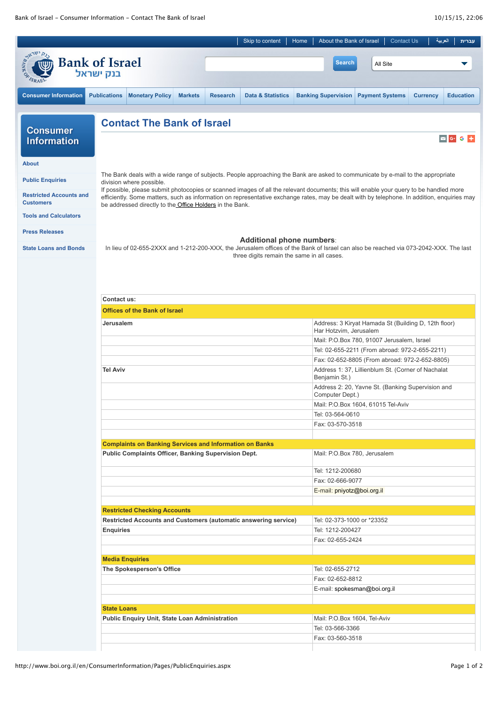|                                                    |                                                                                                                                                                                                                                                                                                                                                          |                 | Skip to content                            | Home | About the Bank of Israel                                                                             |                        | <b>Contact Us</b> |                 | العربية           | עברית            |
|----------------------------------------------------|----------------------------------------------------------------------------------------------------------------------------------------------------------------------------------------------------------------------------------------------------------------------------------------------------------------------------------------------------------|-----------------|--------------------------------------------|------|------------------------------------------------------------------------------------------------------|------------------------|-------------------|-----------------|-------------------|------------------|
|                                                    | <b>Bank of Israel</b><br>בנק ישראל                                                                                                                                                                                                                                                                                                                       |                 |                                            |      | <b>Search</b>                                                                                        |                        | All Site          |                 |                   |                  |
| <b>Consumer Information</b>                        | <b>Publications</b><br><b>Monetary Policy</b><br><b>Markets</b>                                                                                                                                                                                                                                                                                          | <b>Research</b> | <b>Data &amp; Statistics</b>               |      | <b>Banking Supervision</b>                                                                           | <b>Payment Systems</b> |                   | <b>Currency</b> |                   | <b>Education</b> |
|                                                    | <b>Contact The Bank of Israel</b>                                                                                                                                                                                                                                                                                                                        |                 |                                            |      |                                                                                                      |                        |                   |                 |                   |                  |
| <b>Consumer</b><br><b>Information</b>              |                                                                                                                                                                                                                                                                                                                                                          |                 |                                            |      |                                                                                                      |                        |                   |                 | $\boxed{\sim}$ G+ | G                |
| <b>About</b>                                       |                                                                                                                                                                                                                                                                                                                                                          |                 |                                            |      |                                                                                                      |                        |                   |                 |                   |                  |
| <b>Public Enquiries</b>                            | The Bank deals with a wide range of subjects. People approaching the Bank are asked to communicate by e-mail to the appropriate<br>division where possible.                                                                                                                                                                                              |                 |                                            |      |                                                                                                      |                        |                   |                 |                   |                  |
| <b>Restricted Accounts and</b><br><b>Customers</b> | If possible, please submit photocopies or scanned images of all the relevant documents; this will enable your query to be handled more<br>efficiently. Some matters, such as information on representative exchange rates, may be dealt with by telephone. In addition, enquiries may<br>be addressed directly to the <b>Office Holders</b> in the Bank. |                 |                                            |      |                                                                                                      |                        |                   |                 |                   |                  |
| <b>Tools and Calculators</b>                       |                                                                                                                                                                                                                                                                                                                                                          |                 |                                            |      |                                                                                                      |                        |                   |                 |                   |                  |
| <b>Press Releases</b>                              |                                                                                                                                                                                                                                                                                                                                                          |                 | Additional phone numbers:                  |      |                                                                                                      |                        |                   |                 |                   |                  |
| <b>State Loans and Bonds</b>                       | In lieu of 02-655-2XXX and 1-212-200-XXX, the Jerusalem offices of the Bank of Israel can also be reached via 073-2042-XXX. The last                                                                                                                                                                                                                     |                 | three digits remain the same in all cases. |      |                                                                                                      |                        |                   |                 |                   |                  |
|                                                    | Contact us:                                                                                                                                                                                                                                                                                                                                              |                 |                                            |      |                                                                                                      |                        |                   |                 |                   |                  |
|                                                    | <b>Offices of the Bank of Israel</b>                                                                                                                                                                                                                                                                                                                     |                 |                                            |      |                                                                                                      |                        |                   |                 |                   |                  |
|                                                    | Jerusalem                                                                                                                                                                                                                                                                                                                                                |                 |                                            |      | Address: 3 Kiryat Hamada St (Building D, 12th floor)<br>Har Hotzvim, Jerusalem                       |                        |                   |                 |                   |                  |
|                                                    |                                                                                                                                                                                                                                                                                                                                                          |                 |                                            |      | Mail: P.O.Box 780, 91007 Jerusalem, Israel                                                           |                        |                   |                 |                   |                  |
|                                                    |                                                                                                                                                                                                                                                                                                                                                          |                 |                                            |      | Tel: 02-655-2211 (From abroad: 972-2-655-2211)                                                       |                        |                   |                 |                   |                  |
|                                                    | <b>Tel Aviv</b>                                                                                                                                                                                                                                                                                                                                          |                 |                                            |      | Fax: 02-652-8805 (From abroad: 972-2-652-8805)<br>Address 1: 37, Lillienblum St. (Corner of Nachalat |                        |                   |                 |                   |                  |
|                                                    |                                                                                                                                                                                                                                                                                                                                                          |                 |                                            |      | Benjamin St.)<br>Address 2: 20, Yavne St. (Banking Supervision and                                   |                        |                   |                 |                   |                  |
|                                                    |                                                                                                                                                                                                                                                                                                                                                          |                 |                                            |      | Computer Dept.)                                                                                      |                        |                   |                 |                   |                  |
|                                                    |                                                                                                                                                                                                                                                                                                                                                          |                 |                                            |      | Mail: P.O.Box 1604, 61015 Tel-Aviv                                                                   |                        |                   |                 |                   |                  |
|                                                    |                                                                                                                                                                                                                                                                                                                                                          |                 |                                            |      | Tel: 03-564-0610                                                                                     |                        |                   |                 |                   |                  |
|                                                    |                                                                                                                                                                                                                                                                                                                                                          |                 |                                            |      | Fax: 03-570-3518                                                                                     |                        |                   |                 |                   |                  |
|                                                    | <b>Complaints on Banking Services and Information on Banks</b>                                                                                                                                                                                                                                                                                           |                 |                                            |      |                                                                                                      |                        |                   |                 |                   |                  |
|                                                    | Public Complaints Officer, Banking Supervision Dept.                                                                                                                                                                                                                                                                                                     |                 |                                            |      | Mail: P.O.Box 780, Jerusalem                                                                         |                        |                   |                 |                   |                  |
|                                                    |                                                                                                                                                                                                                                                                                                                                                          |                 |                                            |      | Tel: 1212-200680                                                                                     |                        |                   |                 |                   |                  |
|                                                    |                                                                                                                                                                                                                                                                                                                                                          |                 |                                            |      | Fax: 02-666-9077                                                                                     |                        |                   |                 |                   |                  |
|                                                    |                                                                                                                                                                                                                                                                                                                                                          |                 |                                            |      | E-mail: pniyotz@boi.org.il                                                                           |                        |                   |                 |                   |                  |
|                                                    | <b>Restricted Checking Accounts</b>                                                                                                                                                                                                                                                                                                                      |                 |                                            |      |                                                                                                      |                        |                   |                 |                   |                  |
|                                                    | Restricted Accounts and Customers (automatic answering service)                                                                                                                                                                                                                                                                                          |                 |                                            |      | Tel: 02-373-1000 or *23352                                                                           |                        |                   |                 |                   |                  |
|                                                    | <b>Enquiries</b>                                                                                                                                                                                                                                                                                                                                         |                 |                                            |      | Tel: 1212-200427                                                                                     |                        |                   |                 |                   |                  |
|                                                    |                                                                                                                                                                                                                                                                                                                                                          |                 |                                            |      | Fax: 02-655-2424                                                                                     |                        |                   |                 |                   |                  |
|                                                    | <b>Media Enquiries</b>                                                                                                                                                                                                                                                                                                                                   |                 |                                            |      |                                                                                                      |                        |                   |                 |                   |                  |
|                                                    | The Spokesperson's Office                                                                                                                                                                                                                                                                                                                                |                 |                                            |      | Tel: 02-655-2712                                                                                     |                        |                   |                 |                   |                  |
|                                                    |                                                                                                                                                                                                                                                                                                                                                          |                 |                                            |      | Fax: 02-652-8812                                                                                     |                        |                   |                 |                   |                  |
|                                                    |                                                                                                                                                                                                                                                                                                                                                          |                 |                                            |      | E-mail: spokesman@boi.org.il                                                                         |                        |                   |                 |                   |                  |
|                                                    |                                                                                                                                                                                                                                                                                                                                                          |                 |                                            |      |                                                                                                      |                        |                   |                 |                   |                  |
|                                                    | <b>State Loans</b>                                                                                                                                                                                                                                                                                                                                       |                 |                                            |      |                                                                                                      |                        |                   |                 |                   |                  |
|                                                    | Public Enquiry Unit, State Loan Administration                                                                                                                                                                                                                                                                                                           |                 |                                            |      | Mail: P.O.Box 1604, Tel-Aviv                                                                         |                        |                   |                 |                   |                  |
|                                                    |                                                                                                                                                                                                                                                                                                                                                          |                 |                                            |      | Tel: 03-566-3366<br>Fax: 03-560-3518                                                                 |                        |                   |                 |                   |                  |
|                                                    |                                                                                                                                                                                                                                                                                                                                                          |                 |                                            |      |                                                                                                      |                        |                   |                 |                   |                  |